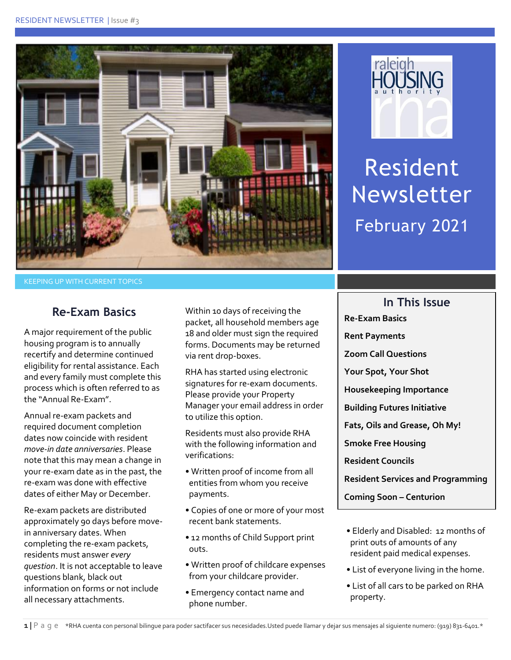



Resident Newsletter February 2021

**In This Issue**

### **Re-Exam Basics**

A major requirement of the public housing program is to annually recertify and determine continued eligibility for rental assistance. Each and every family must complete this process which is often referred to as the "Annual Re-Exam".

Annual re-exam packets and required document completion dates now coincide with resident *move-in date anniversaries*. Please note that this may mean a change in your re-exam date as in the past, the re-exam was done with effective dates of either May or December.

Re-exam packets are distributed approximately 90 days before movein anniversary dates. When completing the re-exam packets, residents must answer *every question*. It is not acceptable to leave questions blank, black out information on forms or not include all necessary attachments.

Within 10 days of receiving the packet, all household members age 18 and older must sign the required forms. Documents may be returned via rent drop-boxes.

RHA has started using electronic signatures for re-exam documents. Please provide your Property Manager your email address in order to utilize this option.

Residents must also provide RHA with the following information and verifications:

- Written proof of income from all entities from whom you receive payments.
- Copies of one or more of your most recent bank statements.
- 12 months of Child Support print outs.
- Written proof of childcare expenses from your childcare provider.
- Emergency contact name and phone number.

**Rent Payments Zoom Call Questions Your Spot, Your Shot Housekeeping Importance Building Futures Initiative Fats, Oils and Grease, Oh My! Smoke Free Housing Resident Councils**

**Re-Exam Basics**

**Resident Services and Programming**

**Coming Soon – Centurion** 

- Elderly and Disabled: 12 months of print outs of amounts of any resident paid medical expenses.
- List of everyone living in the home.
- List of all cars to be parked on RHA property.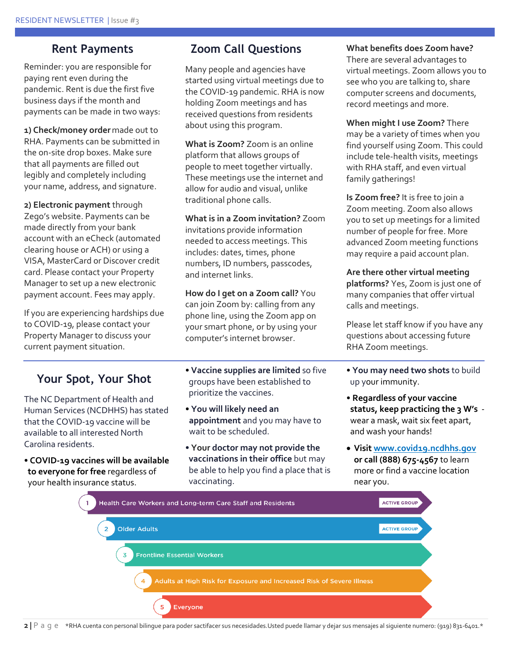### **Rent Payments**

Reminder: you are responsible for paying rent even during the pandemic. Rent is due the first five business days if the month and payments can be made in two ways:

**1) Check/money order** made out to RHA. Payments can be submitted in the on-site drop boxes. Make sure that all payments are filled out legibly and completely including your name, address, and signature.

**2) Electronic payment** through Zego's website. Payments can be made directly from your bank account with an eCheck (automated clearing house or ACH) or using a VISA, MasterCard or Discover credit card. Please contact your Property Manager to set up a new electronic payment account. Fees may apply.

If you are experiencing hardships due to COVID-19, please contact your Property Manager to discuss your current payment situation.

## **Your Spot, Your Shot**

The NC Department of Health and Human Services (NCDHHS) has stated that the COVID-19 vaccine will be available to all interested North Carolina residents.

- **COVID-19 vaccines will be available to everyone for free** regardless of your health insurance status.
- **Vaccine supplies are limited** so five groups have been established to prioritize the vaccines.

**Zoom Call Questions**

Many people and agencies have started using virtual meetings due to the COVID-19 pandemic. RHA is now holding Zoom meetings and has received questions from residents

**What is Zoom?** Zoom is an online platform that allows groups of people to meet together virtually. These meetings use the internet and allow for audio and visual, unlike

**What is in a Zoom invitation?** Zoom invitations provide information needed to access meetings. This includes: dates, times, phone numbers, ID numbers, passcodes,

**How do I get on a Zoom call?** You can join Zoom by: calling from any phone line, using the Zoom app on your smart phone, or by using your computer's internet browser.

about using this program.

traditional phone calls.

and internet links.

- **You will likely need an appointment** and you may have to wait to be scheduled.
- **Your doctor may not provide the vaccinations in their office** but may be able to help you find a place that is vaccinating.

### **What benefits does Zoom have?** There are several advantages to virtual meetings. Zoom allows you to see who you are talking to, share computer screens and documents, record meetings and more.

**When might I use Zoom?** There may be a variety of times when you find yourself using Zoom. This could include tele-health visits, meetings with RHA staff, and even virtual family gatherings!

**Is Zoom free?** It is free to join a Zoom meeting. Zoom also allows you to set up meetings for a limited number of people for free. More advanced Zoom meeting functions may require a paid account plan.

**Are there other virtual meeting platforms?** Yes, Zoom is just one of many companies that offer virtual calls and meetings.

Please let staff know if you have any questions about accessing future RHA Zoom meetings.

- **You may need two shots** to build up your immunity.
- **Regardless of your vaccine status, keep practicing the 3 W's** wear a mask, wait six feet apart, and wash your hands!
- **Visit [www.covid19.ncdhhs.gov](http://www.covid19.ncdhhs.gov/) or call (888) 675-4567** to learn more or find a vaccine location near you.



**2 |** P a g e\*RHA cuenta con personal bilingue para poder sactifacer sus necesidades.Usted puede llamar y dejar sus mensajes al siguiente numero: (919) 831-6401.\*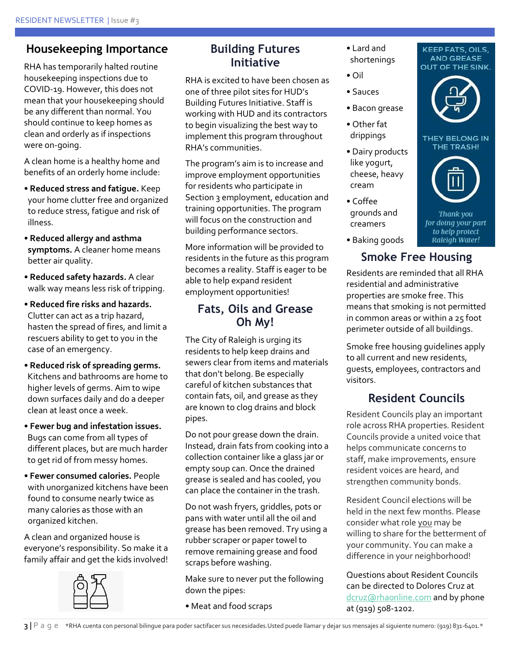## **Housekeeping Importance**

RHA has temporarily halted routine housekeeping inspections due to COVID-19. However, this does not mean that your housekeeping should be any different than normal. You should continue to keep homes as clean and orderly as if inspections were on-going.

A clean home is a healthy home and benefits of an orderly home include:

- **Reduced stress and fatigue.** Keep your home clutter free and organized to reduce stress, fatigue and risk of illness.
- **Reduced allergy and asthma symptoms.** A cleaner home means better air quality.
- **Reduced safety hazards.** A clear walk way means less risk of tripping.
- **Reduced fire risks and hazards.**  Clutter can act as a trip hazard, hasten the spread of fires, and limit a rescuers ability to get to you in the case of an emergency.
- **Reduced risk of spreading germs.** Kitchens and bathrooms are home to higher levels of germs. Aim to wipe down surfaces daily and do a deeper clean at least once a week.
- **Fewer bug and infestation issues.** Bugs can come from all types of different places, but are much harder to get rid of from messy homes.
- **Fewer consumed calories.** People with unorganized kitchens have been found to consume nearly twice as many calories as those with an organized kitchen.

A clean and organized house is everyone's responsibility. So make it a family affair and get the kids involved!



## **Building Futures Initiative**

RHA is excited to have been chosen as one of three pilot sites for HUD's Building Futures Initiative. Staff is working with HUD and its contractors to begin visualizing the best way to implement this program throughout RHA's communities.

The program's aim is to increase and improve employment opportunities for residents who participate in Section 3 employment, education and training opportunities. The program will focus on the construction and building performance sectors.

More information will be provided to residents in the future as this program becomes a reality. Staff is eager to be able to help expand resident employment opportunities!

## **Fats, Oils and Grease Oh My!**

The City of Raleigh is urging its residents to help keep drains and sewers clear from items and materials that don't belong. Be especially careful of kitchen substances that contain fats, oil, and grease as they are known to clog drains and block pipes.

Do not pour grease down the drain. Instead, drain fats from cooking into a collection container like a glass jar or empty soup can. Once the drained grease is sealed and has cooled, you can place the container in the trash.

Do not wash fryers, griddles, pots or pans with water until all the oil and grease has been removed. Try using a rubber scraper or paper towel to remove remaining grease and food scraps before washing.

Make sure to never put the following down the pipes:

• Meat and food scraps

- Lard and shortenings
- Oil
- Sauces
- Bacon grease
- Other fat drippings
- Dairy products like yogurt, cheese, heavy cream
- Coffee grounds and creamers
- Baking goods

# **Smoke Free Housing**

Residents are reminded that all RHA residential and administrative properties are smoke free. This means that smoking is not permitted in common areas or within a 25 foot perimeter outside of all buildings.

Smoke free housing guidelines apply to all current and new residents, guests, employees, contractors and visitors.

# **Resident Councils**

Resident Councils play an important role across RHA properties. Resident Councils provide a united voice that helps communicate concerns to staff, make improvements, ensure resident voices are heard, and strengthen community bonds.

Resident Council elections will be held in the next few months. Please consider what role you may be willing to share for the betterment of your community. You can make a difference in your neighborhood!

Questions about Resident Councils can be directed to Dolores Cruz at [dcruz@rhaonline.com](mailto:dcruz@rhaonline.com) and by phone at (919) 508-1202.



KEEP FATS, OILS, **AND GREASE** 

THEY BELONG IN THE TRASH!

Thank you for doing your part to help protect Raleigh Water!